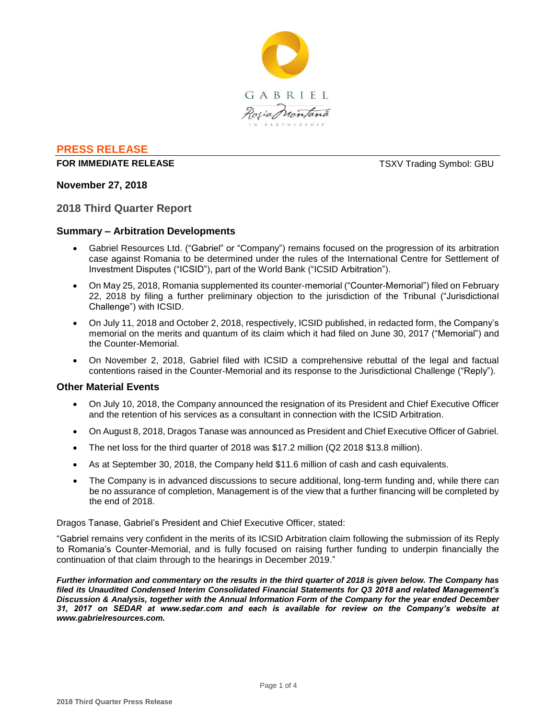

# **PRESS RELEASE**

## **FOR IMMEDIATE RELEASE TSXV Trading Symbol: GBU**

## **November 27, 2018**

#### **2018 Third Quarter Report**

#### **Summary – Arbitration Developments**

- Gabriel Resources Ltd. ("Gabriel" or "Company") remains focused on the progression of its arbitration case against Romania to be determined under the rules of the International Centre for Settlement of Investment Disputes ("ICSID"), part of the World Bank ("ICSID Arbitration").
- On May 25, 2018, Romania supplemented its counter-memorial ("Counter-Memorial") filed on February 22, 2018 by filing a further preliminary objection to the jurisdiction of the Tribunal ("Jurisdictional Challenge") with ICSID.
- On July 11, 2018 and October 2, 2018, respectively, ICSID published, in redacted form, the Company's memorial on the merits and quantum of its claim which it had filed on June 30, 2017 ("Memorial") and the Counter-Memorial.
- On November 2, 2018, Gabriel filed with ICSID a comprehensive rebuttal of the legal and factual contentions raised in the Counter-Memorial and its response to the Jurisdictional Challenge ("Reply").

## **Other Material Events**

- On July 10, 2018, the Company announced the resignation of its President and Chief Executive Officer and the retention of his services as a consultant in connection with the ICSID Arbitration.
- On August 8, 2018, Dragos Tanase was announced as President and Chief Executive Officer of Gabriel.
- The net loss for the third quarter of 2018 was \$17.2 million (Q2 2018 \$13.8 million).
- As at September 30, 2018, the Company held \$11.6 million of cash and cash equivalents.
- The Company is in advanced discussions to secure additional, long-term funding and, while there can be no assurance of completion, Management is of the view that a further financing will be completed by the end of 2018.

Dragos Tanase, Gabriel's President and Chief Executive Officer, stated:

"Gabriel remains very confident in the merits of its ICSID Arbitration claim following the submission of its Reply to Romania's Counter-Memorial, and is fully focused on raising further funding to underpin financially the continuation of that claim through to the hearings in December 2019."

*Further information and commentary on the results in the third quarter of 2018 is given below. The Company has filed its Unaudited Condensed Interim Consolidated Financial Statements for Q3 2018 and related Management's Discussion & Analysis, together with the Annual Information Form of the Company for the year ended December 31, 2017 on SEDAR at www.sedar.com and each is available for review on the Company's website at www.gabrielresources.com.*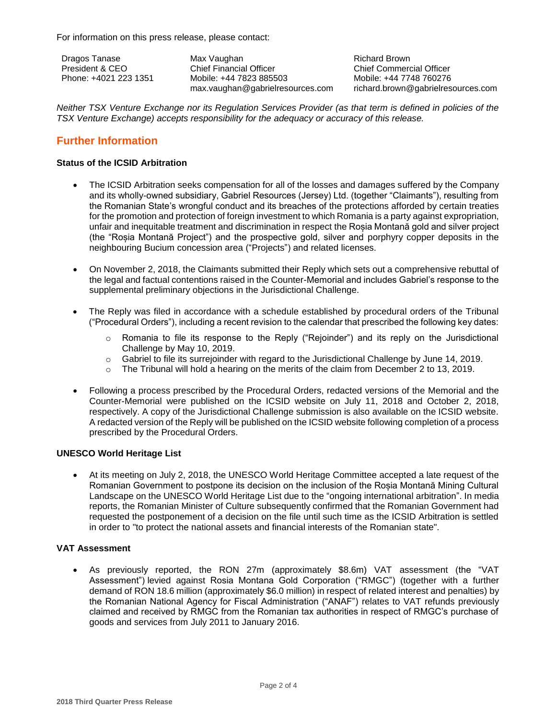For information on this press release, please contact:

Dragos Tanase President & CEO Phone: +4021 223 1351 Max Vaughan Chief Financial Officer Mobile: +44 7823 885503 max.vaughan@gabrielresources.com Richard Brown Chief Commercial Officer Mobile: +44 7748 760276 richard.brown@gabrielresources.com

*Neither TSX Venture Exchange nor its Regulation Services Provider (as that term is defined in policies of the TSX Venture Exchange) accepts responsibility for the adequacy or accuracy of this release.*

# **Further Information**

## **Status of the ICSID Arbitration**

- The ICSID Arbitration seeks compensation for all of the losses and damages suffered by the Company and its wholly-owned subsidiary, Gabriel Resources (Jersey) Ltd. (together "Claimants"), resulting from the Romanian State's wrongful conduct and its breaches of the protections afforded by certain treaties for the promotion and protection of foreign investment to which Romania is a party against expropriation, unfair and inequitable treatment and discrimination in respect the Roșia Montană gold and silver project (the "Roșia Montană Project") and the prospective gold, silver and porphyry copper deposits in the neighbouring Bucium concession area ("Projects") and related licenses.
- On November 2, 2018, the Claimants submitted their Reply which sets out a comprehensive rebuttal of the legal and factual contentions raised in the Counter-Memorial and includes Gabriel's response to the supplemental preliminary objections in the Jurisdictional Challenge.
- The Reply was filed in accordance with a schedule established by procedural orders of the Tribunal ("Procedural Orders"), including a recent revision to the calendar that prescribed the following key dates:
	- $\circ$  Romania to file its response to the Reply ("Rejoinder") and its reply on the Jurisdictional Challenge by May 10, 2019.
	- o Gabriel to file its surrejoinder with regard to the Jurisdictional Challenge by June 14, 2019.
	- $\circ$  The Tribunal will hold a hearing on the merits of the claim from December 2 to 13, 2019.
- Following a process prescribed by the Procedural Orders, redacted versions of the Memorial and the Counter-Memorial were published on the ICSID website on July 11, 2018 and October 2, 2018, respectively. A copy of the Jurisdictional Challenge submission is also available on the ICSID website. A redacted version of the Reply will be published on the ICSID website following completion of a process prescribed by the Procedural Orders.

## **UNESCO World Heritage List**

 At its meeting on July 2, 2018, the UNESCO World Heritage Committee accepted a late request of the Romanian Government to postpone its decision on the inclusion of the Roșia Montană Mining Cultural Landscape on the UNESCO World Heritage List due to the "ongoing international arbitration". In media reports, the Romanian Minister of Culture subsequently confirmed that the Romanian Government had requested the postponement of a decision on the file until such time as the ICSID Arbitration is settled in order to "to protect the national assets and financial interests of the Romanian state".

## **VAT Assessment**

 As previously reported, the RON 27m (approximately \$8.6m) VAT assessment (the "VAT Assessment") levied against Rosia Montana Gold Corporation ("RMGC") (together with a further demand of RON 18.6 million (approximately \$6.0 million) in respect of related interest and penalties) by the Romanian National Agency for Fiscal Administration ("ANAF") relates to VAT refunds previously claimed and received by RMGC from the Romanian tax authorities in respect of RMGC's purchase of goods and services from July 2011 to January 2016.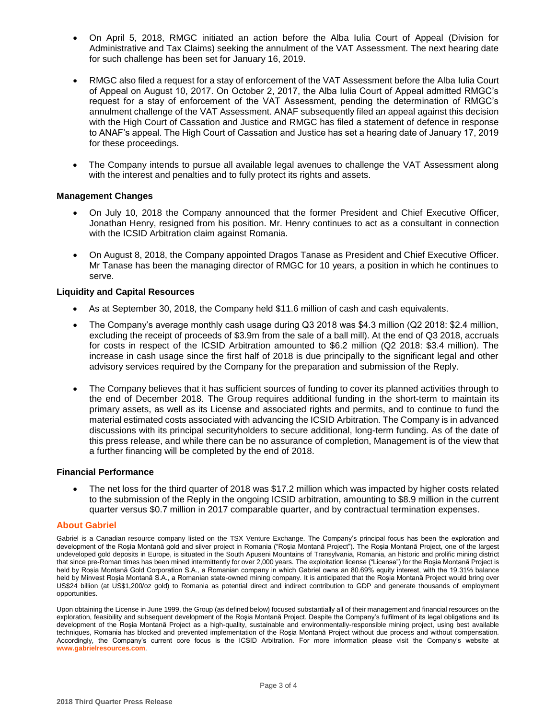- On April 5, 2018, RMGC initiated an action before the Alba Iulia Court of Appeal (Division for Administrative and Tax Claims) seeking the annulment of the VAT Assessment. The next hearing date for such challenge has been set for January 16, 2019.
- RMGC also filed a request for a stay of enforcement of the VAT Assessment before the Alba Iulia Court of Appeal on August 10, 2017. On October 2, 2017, the Alba Iulia Court of Appeal admitted RMGC's request for a stay of enforcement of the VAT Assessment, pending the determination of RMGC's annulment challenge of the VAT Assessment. ANAF subsequently filed an appeal against this decision with the High Court of Cassation and Justice and RMGC has filed a statement of defence in response to ANAF's appeal. The High Court of Cassation and Justice has set a hearing date of January 17, 2019 for these proceedings.
- The Company intends to pursue all available legal avenues to challenge the VAT Assessment along with the interest and penalties and to fully protect its rights and assets.

#### **Management Changes**

- On July 10, 2018 the Company announced that the former President and Chief Executive Officer, Jonathan Henry, resigned from his position. Mr. Henry continues to act as a consultant in connection with the ICSID Arbitration claim against Romania.
- On August 8, 2018, the Company appointed Dragos Tanase as President and Chief Executive Officer. Mr Tanase has been the managing director of RMGC for 10 years, a position in which he continues to serve.

#### **Liquidity and Capital Resources**

- As at September 30, 2018, the Company held \$11.6 million of cash and cash equivalents.
- The Company's average monthly cash usage during Q3 2018 was \$4.3 million (Q2 2018: \$2.4 million, excluding the receipt of proceeds of \$3.9m from the sale of a ball mill). At the end of Q3 2018, accruals for costs in respect of the ICSID Arbitration amounted to \$6.2 million (Q2 2018: \$3.4 million). The increase in cash usage since the first half of 2018 is due principally to the significant legal and other advisory services required by the Company for the preparation and submission of the Reply.
- The Company believes that it has sufficient sources of funding to cover its planned activities through to the end of December 2018. The Group requires additional funding in the short-term to maintain its primary assets, as well as its License and associated rights and permits, and to continue to fund the material estimated costs associated with advancing the ICSID Arbitration. The Company is in advanced discussions with its principal securityholders to secure additional, long-term funding. As of the date of this press release, and while there can be no assurance of completion, Management is of the view that a further financing will be completed by the end of 2018.

#### **Financial Performance**

 The net loss for the third quarter of 2018 was \$17.2 million which was impacted by higher costs related to the submission of the Reply in the ongoing ICSID arbitration, amounting to \$8.9 million in the current quarter versus \$0.7 million in 2017 comparable quarter, and by contractual termination expenses.

#### **About Gabriel**

Gabriel is a Canadian resource company listed on the TSX Venture Exchange. The Company's principal focus has been the exploration and development of the Roșia Montană gold and silver project in Romania ("Roşia Montană Project"). The Roşia Montană Project, one of the largest undeveloped gold deposits in Europe, is situated in the South Apuseni Mountains of Transylvania, Romania, an historic and prolific mining district that since pre-Roman times has been mined intermittently for over 2,000 years. The exploitation license ("License") for the Roşia Montană Project is held by Roșia Montană Gold Corporation S.A., a Romanian company in which Gabriel owns an 80.69% equity interest, with the 19.31% balance held by Minvest Roșia Montană S.A., a Romanian state-owned mining company. It is anticipated that the Roşia Montană Project would bring over US\$24 billion (at US\$1,200/oz gold) to Romania as potential direct and indirect contribution to GDP and generate thousands of employment opportunities.

Upon obtaining the License in June 1999, the Group (as defined below) focused substantially all of their management and financial resources on the exploration, feasibility and subsequent development of the Roşia Montană Project. Despite the Company's fulfilment of its legal obligations and its development of the Roşia Montană Project as a high-quality, sustainable and environmentally-responsible mining project, using best available techniques, Romania has blocked and prevented implementation of the Roşia Montană Project without due process and without compensation. Accordingly, the Company's current core focus is the ICSID Arbitration. For more information please visit the Company's website at **www.gabrielresources.com**.